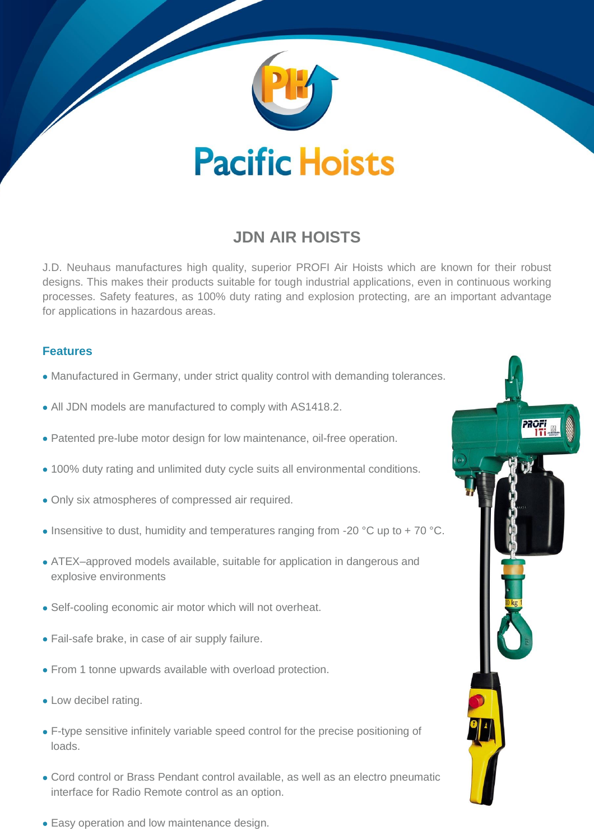

# **JDN AIR HOISTS**

J.D. Neuhaus manufactures high quality, superior PROFI Air Hoists which are known for their robust designs. This makes their products suitable for tough industrial applications, even in continuous working processes. Safety features, as 100% duty rating and explosion protecting, are an important advantage for applications in hazardous areas.

# **Features**

- Manufactured in Germany, under strict quality control with demanding tolerances.
- All JDN models are manufactured to comply with AS1418.2.
- Patented pre-lube motor design for low maintenance, oil-free operation.
- 100% duty rating and unlimited duty cycle suits all environmental conditions.
- Only six atmospheres of compressed air required.
- Insensitive to dust, humidity and temperatures ranging from -20 °C up to +70 °C.
- ATEX–approved models available, suitable for application in dangerous and explosive environments
- Self-cooling economic air motor which will not overheat.
- Fail-safe brake, in case of air supply failure.
- From 1 tonne upwards available with overload protection.
- Low decibel rating.
- F-type sensitive infinitely variable speed control for the precise positioning of loads.
- Cord control or Brass Pendant control available, as well as an electro pneumatic interface for Radio Remote control as an option.
- Easy operation and low maintenance design.

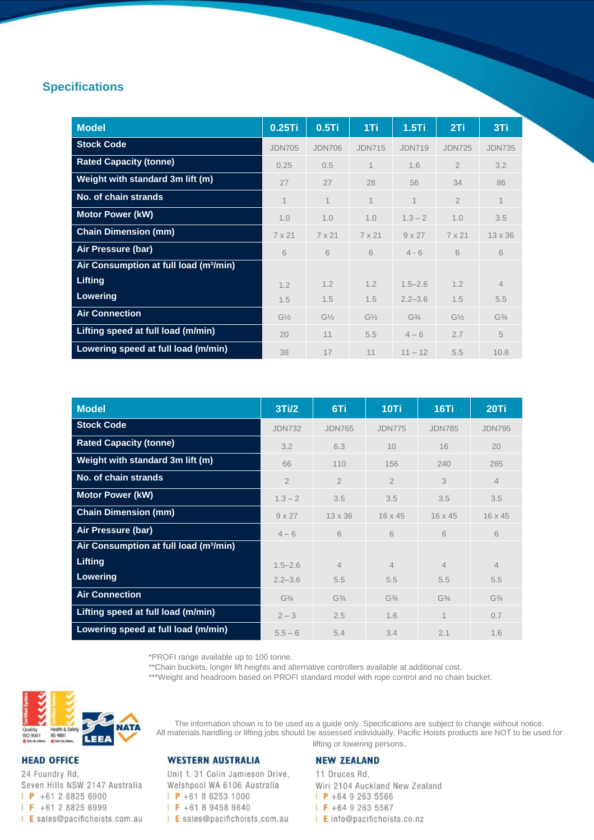## **Specifications**

| <b>Model</b>                                       | 0.25Ti         | $0.5$ Ti       | 1Ti            | $1.5$ Ti       | 2Ti            | 3Ti            |
|----------------------------------------------------|----------------|----------------|----------------|----------------|----------------|----------------|
| <b>Stock Code</b>                                  | <b>JDN705</b>  | <b>JDN706</b>  | <b>JDN715</b>  | <b>JDN719</b>  | <b>JDN725</b>  | <b>JDN735</b>  |
| <b>Rated Capacity (tonne)</b>                      | 0.25           | 0.5            | 1              | 1.6            | $\overline{2}$ | 3.2            |
| Weight with standard 3m lift (m)                   | 27             | 27             | 28             | 56             | 34             | 86             |
| No. of chain strands                               | $\mathbf 1$    | $\mathbf 1$    | $\mathbf 1$    | $\mathbf 1$    | $\overline{2}$ | 1              |
| <b>Motor Power (kW)</b>                            | 1.0            | 1.0            | 1.0            | $1.3 - 2$      | 1.0            | 3.5            |
| <b>Chain Dimension (mm)</b>                        | $7 \times 21$  | 7 x 21         | 7 x 21         | $9 \times 27$  | $7 \times 21$  | $13 \times 36$ |
| Air Pressure (bar)                                 | 6              | 6              | 6              | $4 - 6$        | 6              | 6              |
| Air Consumption at full load (m <sup>3</sup> /min) |                |                |                |                |                |                |
| Lifting                                            | 1.2            | 1.2            | 1.2            | $1.5 - 2.6$    | 1.2            | $\overline{4}$ |
| Lowering                                           | 1.5            | 1.5            | 1.5            | $2.2 - 3.6$    | 1.5            | 5.5            |
| <b>Air Connection</b>                              | $G\frac{1}{2}$ | $G\frac{1}{2}$ | $G\frac{1}{2}$ | $G\frac{3}{4}$ | $G\frac{1}{2}$ | $G\frac{3}{4}$ |
| Lifting speed at full load (m/min)                 | 20             | 11             | 5.5            | $4 - 6$        | 2.7            | 5              |
| Lowering speed at full load (m/min)                | 38             | 17             | 11             | $11 - 12$      | 5.5            | 10.8           |

| <b>Model</b>                                       | 3Ti/2          | 6Ti                           | 10Ti                          | 16Ti                          | 20Ti           |
|----------------------------------------------------|----------------|-------------------------------|-------------------------------|-------------------------------|----------------|
| <b>Stock Code</b>                                  | <b>JDN732</b>  | <b>JDN765</b>                 | <b>JDN775</b>                 | <b>JDN785</b>                 | <b>JDN795</b>  |
| <b>Rated Capacity (tonne)</b>                      | 3.2            | 6.3                           | 10                            | 16                            | 20             |
| Weight with standard 3m lift (m)                   | 66             | 110                           | 156                           | 240                           | 285            |
| No. of chain strands                               | $\overline{2}$ | $\overline{2}$                | $\overline{2}$                | 3                             | $\overline{4}$ |
| <b>Motor Power (kW)</b>                            | $1.3 - 2$      | 3.5                           | 3.5                           | 3.5                           | 3.5            |
| <b>Chain Dimension (mm)</b>                        | $9 \times 27$  | $13 \times 36$                | $16 \times 45$                | $16 \times 45$                | $16 \times 45$ |
| Air Pressure (bar)                                 | $4 - 6$        | 6                             | 6                             | 6                             | 6              |
| Air Consumption at full load (m <sup>3</sup> /min) |                |                               |                               |                               |                |
| Lifting                                            | $1.5 - 2.6$    | $\overline{4}$                | $\overline{4}$                | $\overline{4}$                | $\overline{4}$ |
| <b>Lowering</b>                                    | $2.2 - 3.6$    | 5.5                           | 5.5                           | 5.5                           | 5.5            |
| <b>Air Connection</b>                              | $G\frac{3}{4}$ | G <sup>3</sup> / <sub>4</sub> | G <sup>3</sup> / <sub>4</sub> | G <sup>3</sup> / <sub>4</sub> | $G\frac{3}{4}$ |
| Lifting speed at full load (m/min)                 | $2 - 3$        | 2.5                           | 1.6                           | 1                             | 0.7            |
| Lowering speed at full load (m/min)                | $5.5 - 6$      | 5.4                           | 3.4                           | 2.1                           | 1.6            |

\*PROFI range available up to 100 tonne.

\*\*Chain buckets, longer lift heights and alternative controllers available at additional cost.

\*\*\*Weight and headroom based on PROFI standard model with rope control and no chain bucket.



## **HEAD OFFICE**

24 Foundry Rd, Seven Hills NSW 2147 Australia  $\mid$  **P** +61 2 8825 6900  $\sqrt{F}$  +61 2 8825 6999 I E sales@pacifichoists.com.au

## **WESTERN AUSTRALIA**

Unit 1, 31 Colin Jamieson Drive, Welshpool WA 6106 Australia  $P + 61862531000$  $F + 61894589840$ 

I E sales@pacifichoists.com.au

#### **NEW ZEALAND**

The information shown is to be used as a guide only. Specifications are subject to change without notice. All materials handling or lifting jobs should be assessed individually. Pacific Hoists products are NOT to be used for lifting or lowering persons.

> 11 Druces Rd, Wiri 2104 Auckland New Zealand  $P + 6492635566$  $F + 6492635567$ | Einfo@pacifichoists.co.nz